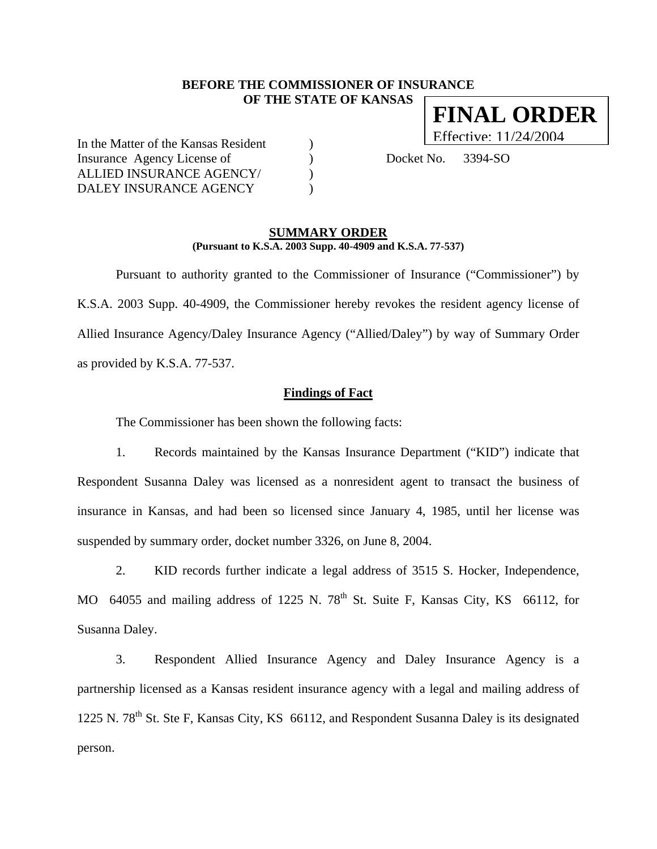## **BEFORE THE COMMISSIONER OF INSURANCE OF THE STATE OF KANSAS FINAL ORDER**

In the Matter of the Kansas Resident ) Insurance Agency License of (a) Docket No. 3394-SO ALLIED INSURANCE AGENCY/  $\qquad$  ) DALEY INSURANCE AGENCY  $)$ 

Effective: 11/24/2004

#### **SUMMARY ORDER (Pursuant to K.S.A. 2003 Supp. 40-4909 and K.S.A. 77-537)**

 Pursuant to authority granted to the Commissioner of Insurance ("Commissioner") by K.S.A. 2003 Supp. 40-4909, the Commissioner hereby revokes the resident agency license of Allied Insurance Agency/Daley Insurance Agency ("Allied/Daley") by way of Summary Order as provided by K.S.A. 77-537.

#### **Findings of Fact**

The Commissioner has been shown the following facts:

1. Records maintained by the Kansas Insurance Department ("KID") indicate that Respondent Susanna Daley was licensed as a nonresident agent to transact the business of insurance in Kansas, and had been so licensed since January 4, 1985, until her license was suspended by summary order, docket number 3326, on June 8, 2004.

2. KID records further indicate a legal address of 3515 S. Hocker, Independence, MO 64055 and mailing address of 1225 N. 78<sup>th</sup> St. Suite F, Kansas City, KS 66112, for Susanna Daley.

3. Respondent Allied Insurance Agency and Daley Insurance Agency is a partnership licensed as a Kansas resident insurance agency with a legal and mailing address of 1225 N. 78<sup>th</sup> St. Ste F, Kansas City, KS 66112, and Respondent Susanna Daley is its designated person.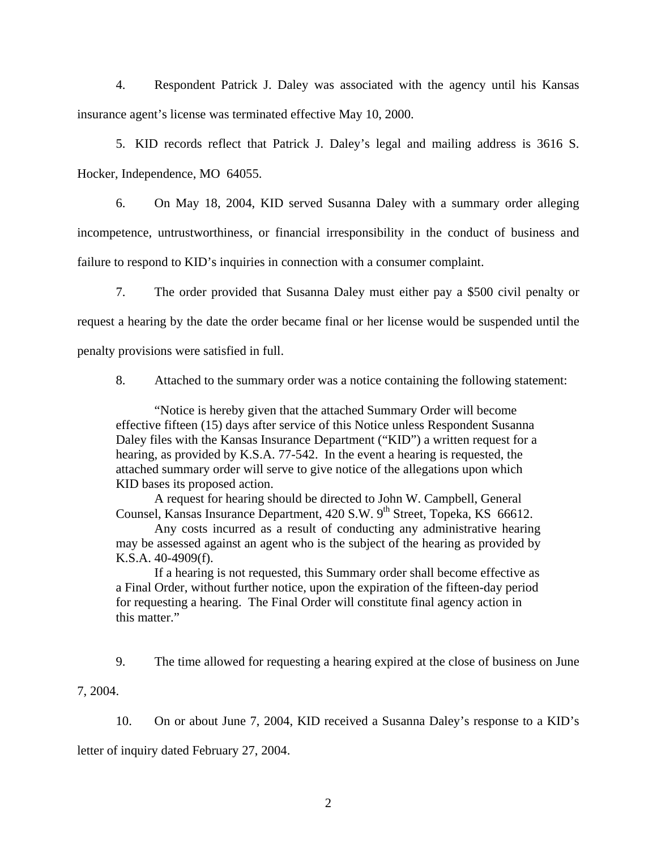4. Respondent Patrick J. Daley was associated with the agency until his Kansas insurance agent's license was terminated effective May 10, 2000.

5. KID records reflect that Patrick J. Daley's legal and mailing address is 3616 S. Hocker, Independence, MO 64055.

6. On May 18, 2004, KID served Susanna Daley with a summary order alleging incompetence, untrustworthiness, or financial irresponsibility in the conduct of business and failure to respond to KID's inquiries in connection with a consumer complaint.

7. The order provided that Susanna Daley must either pay a \$500 civil penalty or request a hearing by the date the order became final or her license would be suspended until the penalty provisions were satisfied in full.

8. Attached to the summary order was a notice containing the following statement:

"Notice is hereby given that the attached Summary Order will become effective fifteen (15) days after service of this Notice unless Respondent Susanna Daley files with the Kansas Insurance Department ("KID") a written request for a hearing, as provided by K.S.A. 77-542. In the event a hearing is requested, the attached summary order will serve to give notice of the allegations upon which KID bases its proposed action.

A request for hearing should be directed to John W. Campbell, General Counsel, Kansas Insurance Department, 420 S.W. 9<sup>th</sup> Street, Topeka, KS 66612.

 Any costs incurred as a result of conducting any administrative hearing may be assessed against an agent who is the subject of the hearing as provided by K.S.A. 40-4909(f).

If a hearing is not requested, this Summary order shall become effective as a Final Order, without further notice, upon the expiration of the fifteen-day period for requesting a hearing. The Final Order will constitute final agency action in this matter."

9. The time allowed for requesting a hearing expired at the close of business on June

7, 2004.

10. On or about June 7, 2004, KID received a Susanna Daley's response to a KID's

letter of inquiry dated February 27, 2004.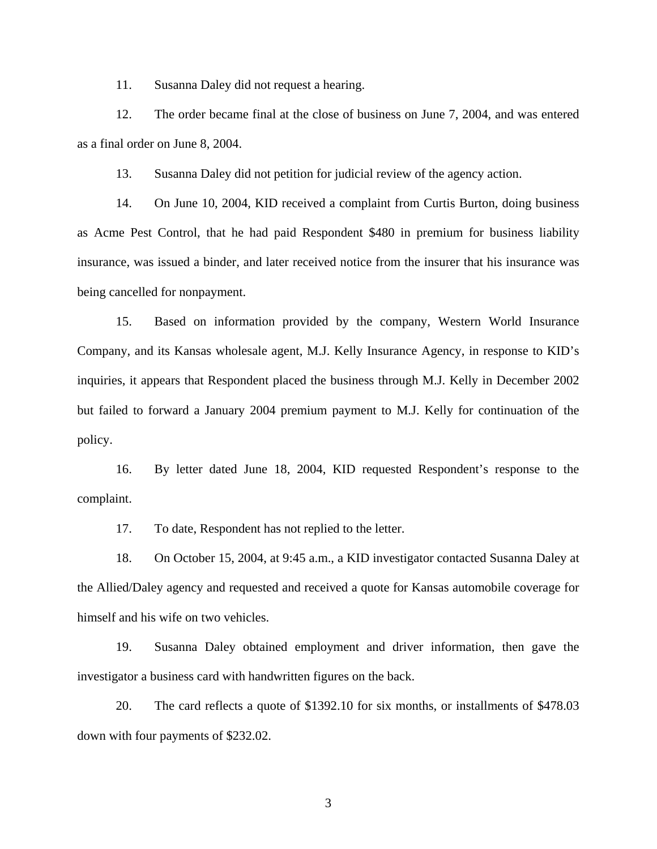11. Susanna Daley did not request a hearing.

12. The order became final at the close of business on June 7, 2004, and was entered as a final order on June 8, 2004.

13. Susanna Daley did not petition for judicial review of the agency action.

14. On June 10, 2004, KID received a complaint from Curtis Burton, doing business as Acme Pest Control, that he had paid Respondent \$480 in premium for business liability insurance, was issued a binder, and later received notice from the insurer that his insurance was being cancelled for nonpayment.

15. Based on information provided by the company, Western World Insurance Company, and its Kansas wholesale agent, M.J. Kelly Insurance Agency, in response to KID's inquiries, it appears that Respondent placed the business through M.J. Kelly in December 2002 but failed to forward a January 2004 premium payment to M.J. Kelly for continuation of the policy.

16. By letter dated June 18, 2004, KID requested Respondent's response to the complaint.

17. To date, Respondent has not replied to the letter.

18. On October 15, 2004, at 9:45 a.m., a KID investigator contacted Susanna Daley at the Allied/Daley agency and requested and received a quote for Kansas automobile coverage for himself and his wife on two vehicles.

19. Susanna Daley obtained employment and driver information, then gave the investigator a business card with handwritten figures on the back.

20. The card reflects a quote of \$1392.10 for six months, or installments of \$478.03 down with four payments of \$232.02.

3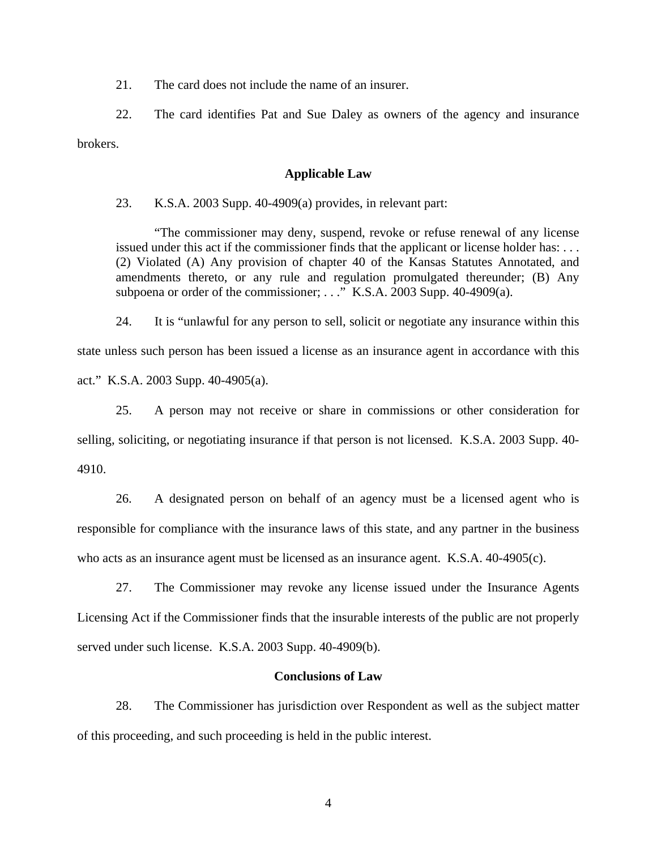21. The card does not include the name of an insurer.

22. The card identifies Pat and Sue Daley as owners of the agency and insurance brokers.

### **Applicable Law**

23. K.S.A. 2003 Supp. 40-4909(a) provides, in relevant part:

"The commissioner may deny, suspend, revoke or refuse renewal of any license issued under this act if the commissioner finds that the applicant or license holder has: . . . (2) Violated (A) Any provision of chapter 40 of the Kansas Statutes Annotated, and amendments thereto, or any rule and regulation promulgated thereunder; (B) Any subpoena or order of the commissioner; ..." K.S.A. 2003 Supp. 40-4909(a).

24. It is "unlawful for any person to sell, solicit or negotiate any insurance within this state unless such person has been issued a license as an insurance agent in accordance with this act." K.S.A. 2003 Supp. 40-4905(a).

25. A person may not receive or share in commissions or other consideration for selling, soliciting, or negotiating insurance if that person is not licensed. K.S.A. 2003 Supp. 40- 4910.

26. A designated person on behalf of an agency must be a licensed agent who is responsible for compliance with the insurance laws of this state, and any partner in the business who acts as an insurance agent must be licensed as an insurance agent. K.S.A. 40-4905(c).

27. The Commissioner may revoke any license issued under the Insurance Agents Licensing Act if the Commissioner finds that the insurable interests of the public are not properly served under such license. K.S.A. 2003 Supp. 40-4909(b).

#### **Conclusions of Law**

28. The Commissioner has jurisdiction over Respondent as well as the subject matter of this proceeding, and such proceeding is held in the public interest.

4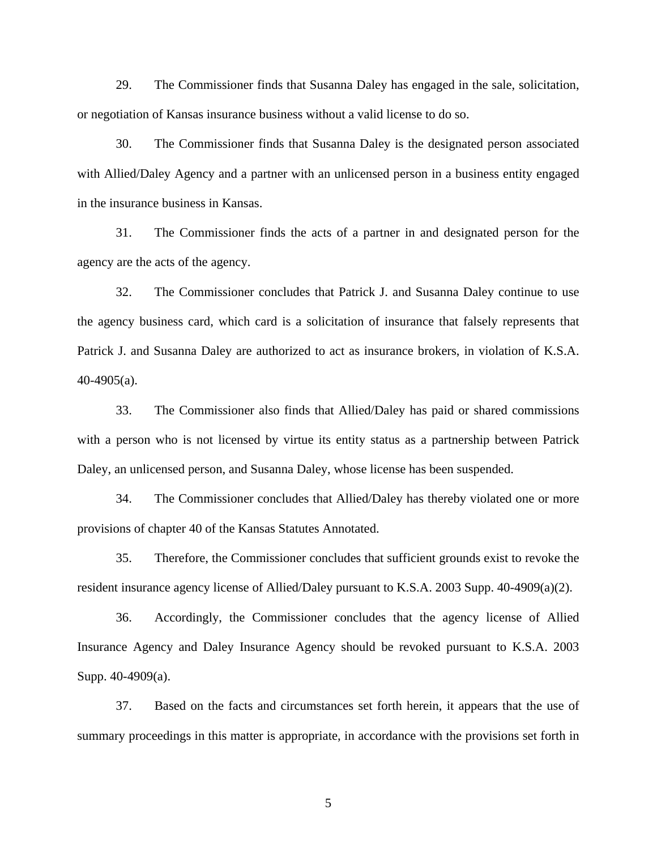29. The Commissioner finds that Susanna Daley has engaged in the sale, solicitation, or negotiation of Kansas insurance business without a valid license to do so.

30. The Commissioner finds that Susanna Daley is the designated person associated with Allied/Daley Agency and a partner with an unlicensed person in a business entity engaged in the insurance business in Kansas.

31. The Commissioner finds the acts of a partner in and designated person for the agency are the acts of the agency.

32. The Commissioner concludes that Patrick J. and Susanna Daley continue to use the agency business card, which card is a solicitation of insurance that falsely represents that Patrick J. and Susanna Daley are authorized to act as insurance brokers, in violation of K.S.A. 40-4905(a).

33. The Commissioner also finds that Allied/Daley has paid or shared commissions with a person who is not licensed by virtue its entity status as a partnership between Patrick Daley, an unlicensed person, and Susanna Daley, whose license has been suspended.

34. The Commissioner concludes that Allied/Daley has thereby violated one or more provisions of chapter 40 of the Kansas Statutes Annotated.

35. Therefore, the Commissioner concludes that sufficient grounds exist to revoke the resident insurance agency license of Allied/Daley pursuant to K.S.A. 2003 Supp. 40-4909(a)(2).

36. Accordingly, the Commissioner concludes that the agency license of Allied Insurance Agency and Daley Insurance Agency should be revoked pursuant to K.S.A. 2003 Supp. 40-4909(a).

37. Based on the facts and circumstances set forth herein, it appears that the use of summary proceedings in this matter is appropriate, in accordance with the provisions set forth in

5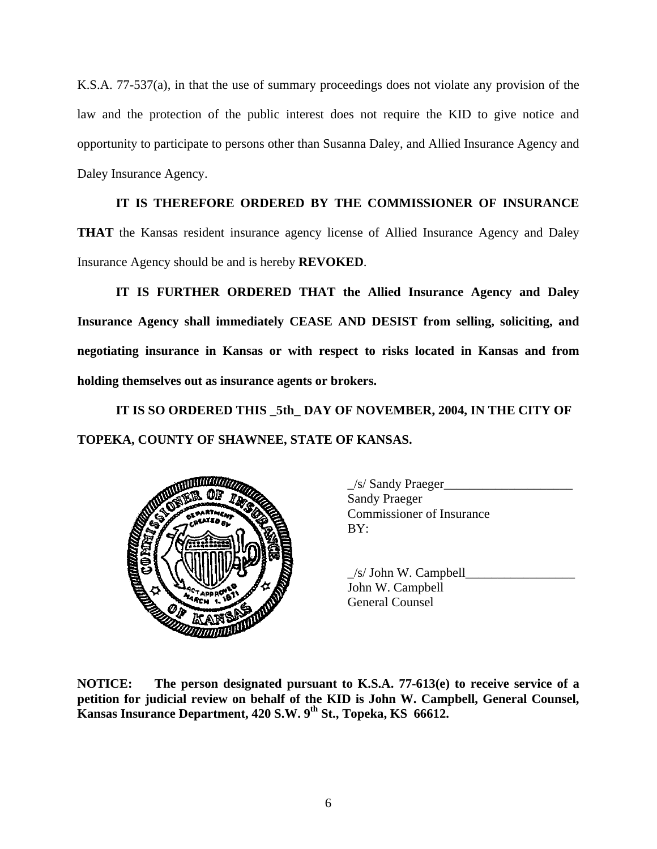K.S.A. 77-537(a), in that the use of summary proceedings does not violate any provision of the law and the protection of the public interest does not require the KID to give notice and opportunity to participate to persons other than Susanna Daley, and Allied Insurance Agency and Daley Insurance Agency.

# **IT IS THEREFORE ORDERED BY THE COMMISSIONER OF INSURANCE**

**THAT** the Kansas resident insurance agency license of Allied Insurance Agency and Daley Insurance Agency should be and is hereby **REVOKED**.

**IT IS FURTHER ORDERED THAT the Allied Insurance Agency and Daley Insurance Agency shall immediately CEASE AND DESIST from selling, soliciting, and negotiating insurance in Kansas or with respect to risks located in Kansas and from holding themselves out as insurance agents or brokers.**

**IT IS SO ORDERED THIS \_5th\_ DAY OF NOVEMBER, 2004, IN THE CITY OF TOPEKA, COUNTY OF SHAWNEE, STATE OF KANSAS.** 



| <b>Sandy Praeger</b><br><b>Commissioner of Insurance</b> | $\angle$ s/ Sandy Praeger |  |
|----------------------------------------------------------|---------------------------|--|
|                                                          |                           |  |
|                                                          |                           |  |
| BY:                                                      |                           |  |

 $/s/$  John W. Campbell John W. Campbell General Counsel

**NOTICE: The person designated pursuant to K.S.A. 77-613(e) to receive service of a petition for judicial review on behalf of the KID is John W. Campbell, General Counsel,**  Kansas Insurance Department, 420 S.W. 9<sup>th</sup> St., Topeka, KS 66612.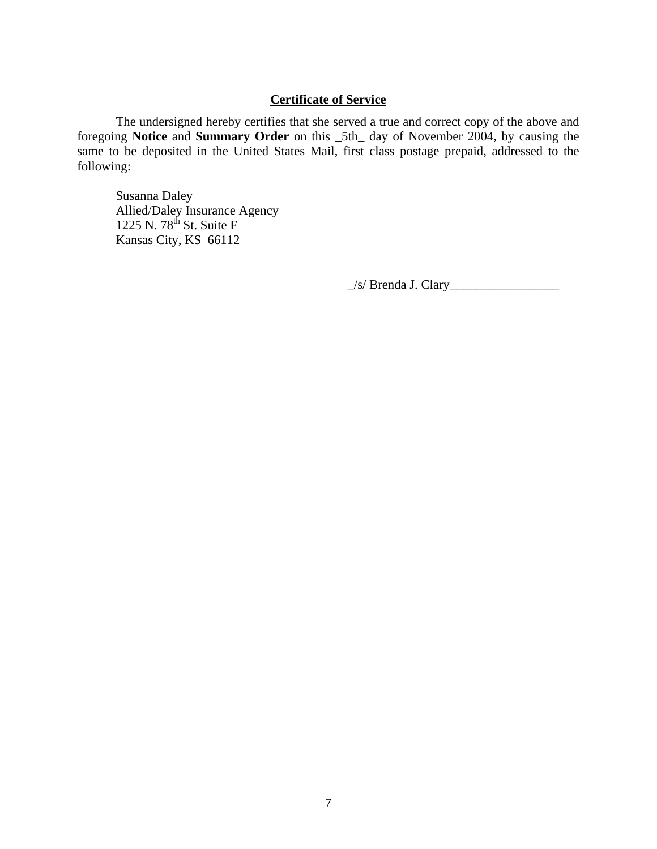## **Certificate of Service**

 The undersigned hereby certifies that she served a true and correct copy of the above and foregoing **Notice** and **Summary Order** on this \_5th\_ day of November 2004, by causing the same to be deposited in the United States Mail, first class postage prepaid, addressed to the following:

Susanna Daley Allied/Daley Insurance Agency 1225 N. 78<sup>th</sup> St. Suite F Kansas City, KS 66112

\_/s/ Brenda J. Clary\_\_\_\_\_\_\_\_\_\_\_\_\_\_\_\_\_